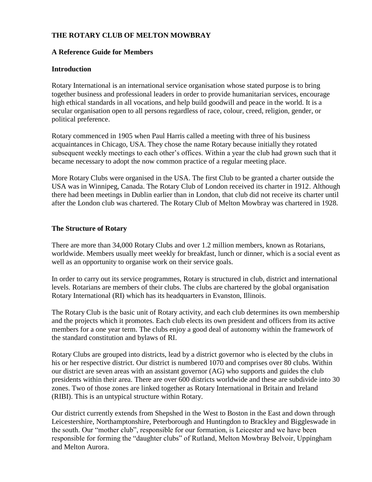# **THE ROTARY CLUB OF MELTON MOWBRAY**

# **A Reference Guide for Members**

# **Introduction**

Rotary International is an international service organisation whose stated purpose is to bring together business and professional leaders in order to provide humanitarian services, encourage high ethical standards in all vocations, and help build goodwill and peace in the world. It is a secular organisation open to all persons regardless of race, colour, creed, religion, gender, or political preference.

Rotary commenced in 1905 when Paul Harris called a meeting with three of his business acquaintances in Chicago, USA. They chose the name Rotary because initially they rotated subsequent weekly meetings to each other's offices. Within a year the club had grown such that it became necessary to adopt the now common practice of a regular meeting place.

More Rotary Clubs were organised in the USA. The first Club to be granted a charter outside the USA was in Winnipeg, Canada. The Rotary Club of London received its charter in 1912. Although there had been meetings in Dublin earlier than in London, that club did not receive its charter until after the London club was chartered. The Rotary Club of Melton Mowbray was chartered in 1928.

# **The Structure of Rotary**

There are more than 34,000 Rotary Clubs and over 1.2 million members, known as Rotarians, worldwide. Members usually meet weekly for breakfast, lunch or dinner, which is a social event as well as an opportunity to organise work on their service goals.

In order to carry out its service programmes, Rotary is structured in club, district and international levels. Rotarians are members of their clubs. The clubs are chartered by the global organisation Rotary International (RI) which has its headquarters in Evanston, Illinois.

The Rotary Club is the basic unit of Rotary activity, and each club determines its own membership and the projects which it promotes. Each club elects its own president and officers from its active members for a one year term. The clubs enjoy a good deal of autonomy within the framework of the standard constitution and bylaws of RI.

Rotary Clubs are grouped into districts, lead by a district governor who is elected by the clubs in his or her respective district. Our district is numbered 1070 and comprises over 80 clubs. Within our district are seven areas with an assistant governor (AG) who supports and guides the club presidents within their area. There are over 600 districts worldwide and these are subdivide into 30 zones. Two of those zones are linked together as Rotary International in Britain and Ireland (RIBI). This is an untypical structure within Rotary.

Our district currently extends from Shepshed in the West to Boston in the East and down through Leicestershire, Northamptonshire, Peterborough and Huntingdon to Brackley and Biggleswade in the south. Our "mother club", responsible for our formation, is Leicester and we have been responsible for forming the "daughter clubs" of Rutland, Melton Mowbray Belvoir, Uppingham and Melton Aurora.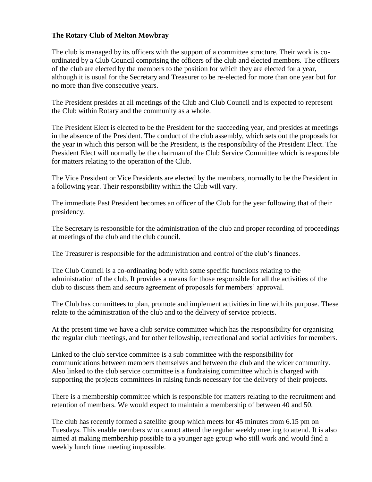# **The Rotary Club of Melton Mowbray**

The club is managed by its officers with the support of a committee structure. Their work is coordinated by a Club Council comprising the officers of the club and elected members. The officers of the club are elected by the members to the position for which they are elected for a year, although it is usual for the Secretary and Treasurer to be re-elected for more than one year but for no more than five consecutive years.

The President presides at all meetings of the Club and Club Council and is expected to represent the Club within Rotary and the community as a whole.

The President Elect is elected to be the President for the succeeding year, and presides at meetings in the absence of the President. The conduct of the club assembly, which sets out the proposals for the year in which this person will be the President, is the responsibility of the President Elect. The President Elect will normally be the chairman of the Club Service Committee which is responsible for matters relating to the operation of the Club.

The Vice President or Vice Presidents are elected by the members, normally to be the President in a following year. Their responsibility within the Club will vary.

The immediate Past President becomes an officer of the Club for the year following that of their presidency.

The Secretary is responsible for the administration of the club and proper recording of proceedings at meetings of the club and the club council.

The Treasurer is responsible for the administration and control of the club's finances.

The Club Council is a co-ordinating body with some specific functions relating to the administration of the club. It provides a means for those responsible for all the activities of the club to discuss them and secure agreement of proposals for members' approval.

The Club has committees to plan, promote and implement activities in line with its purpose. These relate to the administration of the club and to the delivery of service projects.

At the present time we have a club service committee which has the responsibility for organising the regular club meetings, and for other fellowship, recreational and social activities for members.

Linked to the club service committee is a sub committee with the responsibility for communications between members themselves and between the club and the wider community. Also linked to the club service committee is a fundraising committee which is charged with supporting the projects committees in raising funds necessary for the delivery of their projects.

There is a membership committee which is responsible for matters relating to the recruitment and retention of members. We would expect to maintain a membership of between 40 and 50.

The club has recently formed a satellite group which meets for 45 minutes from 6.15 pm on Tuesdays. This enable members who cannot attend the regular weekly meeting to attend. It is also aimed at making membership possible to a younger age group who still work and would find a weekly lunch time meeting impossible.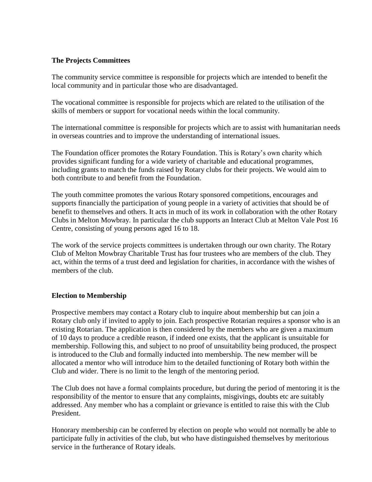# **The Projects Committees**

The community service committee is responsible for projects which are intended to benefit the local community and in particular those who are disadvantaged.

The vocational committee is responsible for projects which are related to the utilisation of the skills of members or support for vocational needs within the local community.

The international committee is responsible for projects which are to assist with humanitarian needs in overseas countries and to improve the understanding of international issues.

The Foundation officer promotes the Rotary Foundation. This is Rotary's own charity which provides significant funding for a wide variety of charitable and educational programmes, including grants to match the funds raised by Rotary clubs for their projects. We would aim to both contribute to and benefit from the Foundation.

The youth committee promotes the various Rotary sponsored competitions, encourages and supports financially the participation of young people in a variety of activities that should be of benefit to themselves and others. It acts in much of its work in collaboration with the other Rotary Clubs in Melton Mowbray. In particular the club supports an Interact Club at Melton Vale Post 16 Centre, consisting of young persons aged 16 to 18.

The work of the service projects committees is undertaken through our own charity. The Rotary Club of Melton Mowbray Charitable Trust has four trustees who are members of the club. They act, within the terms of a trust deed and legislation for charities, in accordance with the wishes of members of the club.

#### **Election to Membership**

Prospective members may contact a Rotary club to inquire about membership but can join a Rotary club only if invited to apply to join. Each prospective Rotarian requires a sponsor who is an existing Rotarian. The application is then considered by the members who are given a maximum of 10 days to produce a credible reason, if indeed one exists, that the applicant is unsuitable for membership. Following this, and subject to no proof of unsuitability being produced, the prospect is introduced to the Club and formally inducted into membership. The new member will be allocated a mentor who will introduce him to the detailed functioning of Rotary both within the Club and wider. There is no limit to the length of the mentoring period.

The Club does not have a formal complaints procedure, but during the period of mentoring it is the responsibility of the mentor to ensure that any complaints, misgivings, doubts etc are suitably addressed. Any member who has a complaint or grievance is entitled to raise this with the Club President.

Honorary membership can be conferred by election on people who would not normally be able to participate fully in activities of the club, but who have distinguished themselves by meritorious service in the furtherance of Rotary ideals.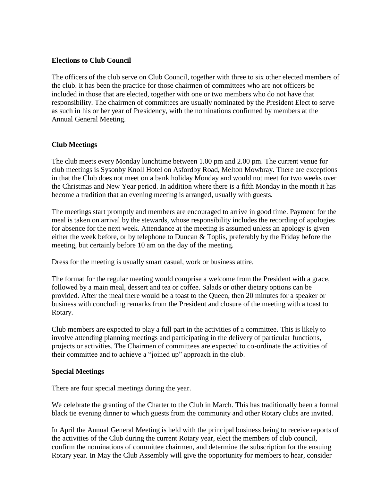### **Elections to Club Council**

The officers of the club serve on Club Council, together with three to six other elected members of the club. It has been the practice for those chairmen of committees who are not officers be included in those that are elected, together with one or two members who do not have that responsibility. The chairmen of committees are usually nominated by the President Elect to serve as such in his or her year of Presidency, with the nominations confirmed by members at the Annual General Meeting.

# **Club Meetings**

The club meets every Monday lunchtime between 1.00 pm and 2.00 pm. The current venue for club meetings is Sysonby Knoll Hotel on Asfordby Road, Melton Mowbray. There are exceptions in that the Club does not meet on a bank holiday Monday and would not meet for two weeks over the Christmas and New Year period. In addition where there is a fifth Monday in the month it has become a tradition that an evening meeting is arranged, usually with guests.

The meetings start promptly and members are encouraged to arrive in good time. Payment for the meal is taken on arrival by the stewards, whose responsibility includes the recording of apologies for absence for the next week. Attendance at the meeting is assumed unless an apology is given either the week before, or by telephone to Duncan & Toplis, preferably by the Friday before the meeting, but certainly before 10 am on the day of the meeting.

Dress for the meeting is usually smart casual, work or business attire.

The format for the regular meeting would comprise a welcome from the President with a grace, followed by a main meal, dessert and tea or coffee. Salads or other dietary options can be provided. After the meal there would be a toast to the Queen, then 20 minutes for a speaker or business with concluding remarks from the President and closure of the meeting with a toast to Rotary.

Club members are expected to play a full part in the activities of a committee. This is likely to involve attending planning meetings and participating in the delivery of particular functions, projects or activities. The Chairmen of committees are expected to co-ordinate the activities of their committee and to achieve a "joined up" approach in the club.

#### **Special Meetings**

There are four special meetings during the year.

We celebrate the granting of the Charter to the Club in March. This has traditionally been a formal black tie evening dinner to which guests from the community and other Rotary clubs are invited.

In April the Annual General Meeting is held with the principal business being to receive reports of the activities of the Club during the current Rotary year, elect the members of club council, confirm the nominations of committee chairmen, and determine the subscription for the ensuing Rotary year. In May the Club Assembly will give the opportunity for members to hear, consider